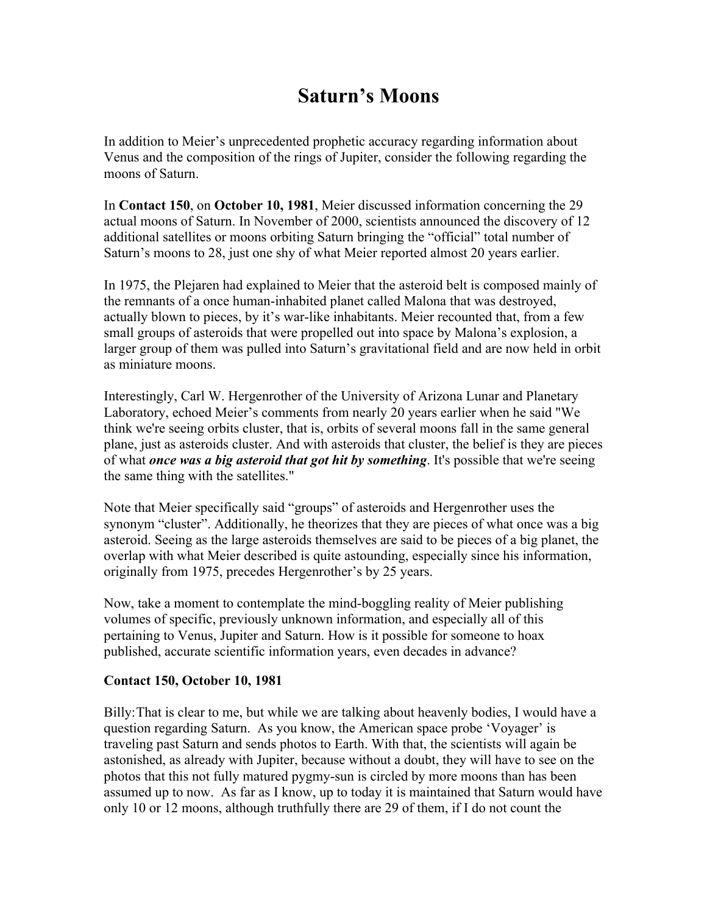## **Saturn's Moons**

In addition to Meier's unprecedented prophetic accuracy regarding information about Venus and the composition of the rings of Jupiter, consider the following regarding the moons of Saturn.

In **Contact 150**, on **October 10, 1981**, Meier discussed information concerning the 29 actual moons of Saturn. In November of 2000, scientists announced the discovery of 12 additional satellites or moons orbiting Saturn bringing the "official" total number of Saturn's moons to 28, just one shy of what Meier reported almost 20 years earlier.

In 1975, the Plejaren had explained to Meier that the asteroid belt is composed mainly of the remnants of a once human-inhabited planet called Malona that was destroyed, actually blown to pieces, by it's war-like inhabitants. Meier recounted that, from a few small groups of asteroids that were propelled out into space by Malona's explosion, a larger group of them was pulled into Saturn's gravitational field and are now held in orbit as miniature moons.

Interestingly, Carl W. Hergenrother of the University of Arizona Lunar and Planetary Laboratory, echoed Meier's comments from nearly 20 years earlier when he said "We think we're seeing orbits cluster, that is, orbits of several moons fall in the same general plane, just as asteroids cluster. And with asteroids that cluster, the belief is they are pieces of what *once was a big asteroid that got hit by something*. It's possible that we're seeing the same thing with the satellites."

Note that Meier specifically said "groups" of asteroids and Hergenrother uses the synonym "cluster". Additionally, he theorizes that they are pieces of what once was a big asteroid. Seeing as the large asteroids themselves are said to be pieces of a big planet, the overlap with what Meier described is quite astounding, especially since his information, originally from 1975, precedes Hergenrother's by 25 years.

Now, take a moment to contemplate the mind-boggling reality of Meier publishing volumes of specific, previously unknown information, and especially all of this pertaining to Venus, Jupiter and Saturn. How is it possible for someone to hoax published, accurate scientific information years, even decades in advance?

## **Contact 150, October 10, 1981**

Billy:That is clear to me, but while we are talking about heavenly bodies, I would have a question regarding Saturn. As you know, the American space probe 'Voyager' is traveling past Saturn and sends photos to Earth. With that, the scientists will again be astonished, as already with Jupiter, because without a doubt, they will have to see on the photos that this not fully matured pygmy-sun is circled by more moons than has been assumed up to now. As far as I know, up to today it is maintained that Saturn would have only 10 or 12 moons, although truthfully there are 29 of them, if I do not count the